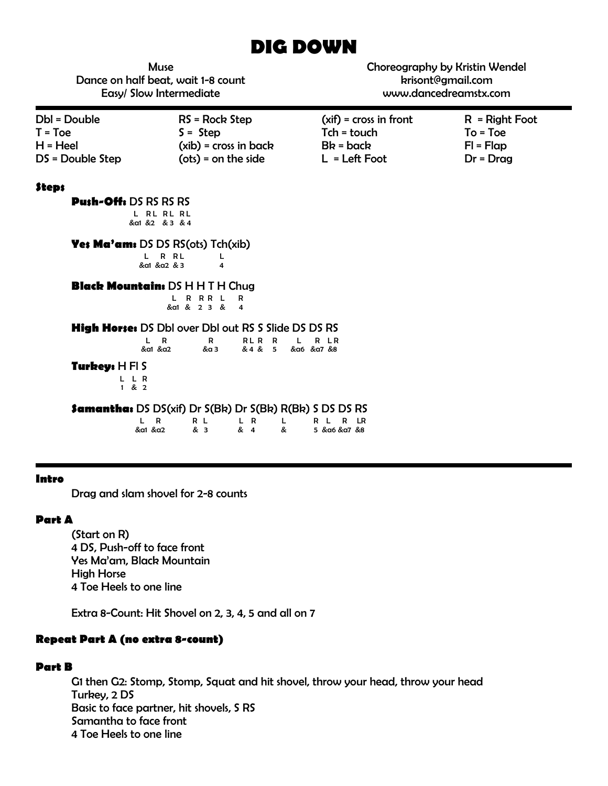# **DIG DOWN**

Muse Dance on half beat, wait 1-8 count Easy/ Slow Intermediate

Choreography by Kristin Wendel krisont@gmail.com www.dancedreamstx.com

| Dbl = Double     | RS = Rock Step          | $(xif) = cross in front$ | $R = Right Foot$ |
|------------------|-------------------------|--------------------------|------------------|
| $T = Toe$        | $S =$ Step              | Tch = touch              | $To = Toe$       |
| H = Heel         | $(xib)$ = cross in back | $Bk = back$              | $FI = Flap$      |
| DS = Double Step | $(ots) = on the side$   | $L = Left$ Foot          | $Dr = Drag$      |

#### **Steps**

**Push-Off:** DS RS RS RS L RL RL RL &a1 &2 & 3 & 4

**Yes Ma'am:** DS DS RS(ots) Tch(xib)

L R RL L<br>&a1&a2&34 &a1 &a2 & 3 4

## **Black Mountain:** DS H H T H Chug

L R R R L R &a1 & 2 3 & 4

|  |  |  | <b>High Horses DS DbI over DbI out RS S Slide DS DS RS</b> |
|--|--|--|------------------------------------------------------------|
|--|--|--|------------------------------------------------------------|

| $\mathbf{R}$<br>&a1 &a2 | R RLR R L R LR | &a 3 & 4 & 5 &a6 &a7 &8 |  |  |
|-------------------------|----------------|-------------------------|--|--|
|                         |                |                         |  |  |

#### **Turkey:** H Fl S

L L R<br>1 & 2

**Samantha:** DS DS(xif) Dr S(Bk) Dr S(Bk) R(Bk) S DS DS RS L R RL LR L RLRLR

| D       | RL R   | $\mathsf{I}$ R     | L RLRLF |  |  |
|---------|--------|--------------------|---------|--|--|
| &α1 &α2 | $\&$ 3 | & 4 & 5 &a6 &a7 &8 |         |  |  |

#### **Intro**

Drag and slam shovel for 2-8 counts

### **Part A**

(Start on R) 4 DS, Push-off to face front Yes Ma'am, Black Mountain High Horse 4 Toe Heels to one line

Extra 8-Count: Hit Shovel on 2, 3, 4, 5 and all on 7

# **Repeat Part A (no extra 8-count)**

## **Part B**

G1 then G2: Stomp, Stomp, Squat and hit shovel, throw your head, throw your head Turkey, 2 DS Basic to face partner, hit shovels, S RS Samantha to face front 4 Toe Heels to one line